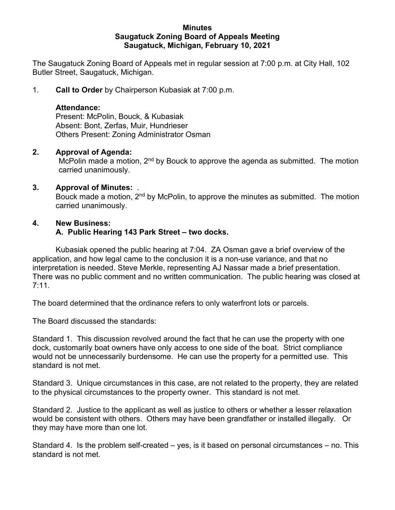#### **Minutes Saugatuck Zoning Board of Appeals Meeting Saugatuck, Michigan, February 10, 2021**

The Saugatuck Zoning Board of Appeals met in regular session at 7:00 p.m. at City Hall, 102 Butler Street, Saugatuck, Michigan.

1. **Call to Order** by Chairperson Kubasiak at 7:00 p.m.

## **Attendance:**

Present: McPolin, Bouck, & Kubasiak Absent: Bont, Zerfas, Muir, Hundrieser Others Present: Zoning Administrator Osman

## **2. Approval of Agenda:**

McPolin made a motion, 2<sup>nd</sup> by Bouck to approve the agenda as submitted. The motion carried unanimously.

## **3. Approval of Minutes:** .

Bouck made a motion, 2<sup>nd</sup> by McPolin, to approve the minutes as submitted. The motion carried unanimously.

## **4. New Business:**

## **A. Public Hearing 143 Park Street – two docks.**

Kubasiak opened the public hearing at 7:04. ZA Osman gave a brief overview of the application, and how legal came to the conclusion it is a non-use variance, and that no interpretation is needed. Steve Merkle, representing AJ Nassar made a brief presentation. There was no public comment and no written communication. The public hearing was closed at 7:11.

The board determined that the ordinance refers to only waterfront lots or parcels.

The Board discussed the standards:

Standard 1. This discussion revolved around the fact that he can use the property with one dock, customarily boat owners have only access to one side of the boat. Strict compliance would not be unnecessarily burdensome. He can use the property for a permitted use. This standard is not met.

Standard 3. Unique circumstances in this case, are not related to the property, they are related to the physical circumstances to the property owner. This standard is not met.

Standard 2. Justice to the applicant as well as justice to others or whether a lesser relaxation would be consistent with others. Others may have been grandfather or installed illegally. Or they may have more than one lot.

Standard 4. Is the problem self-created – yes, is it based on personal circumstances – no. This standard is not met.